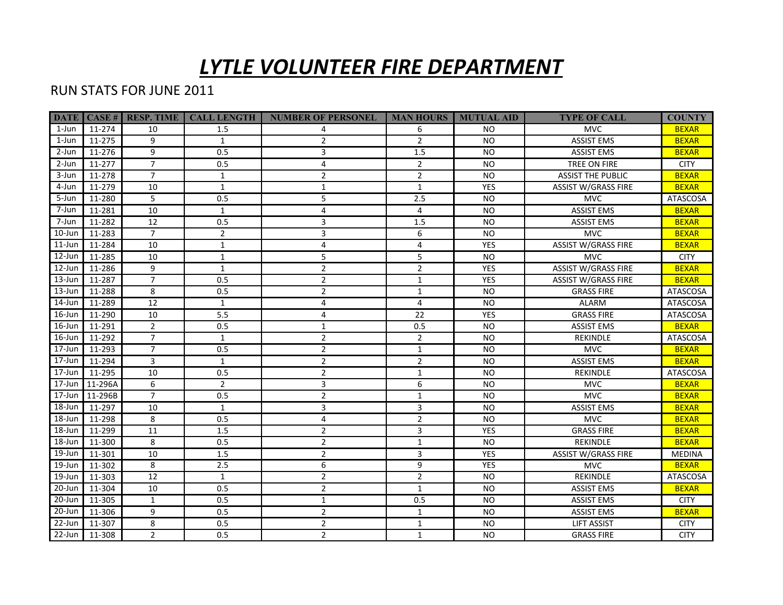## *LYTLE VOLUNTEER FIRE DEPARTMENT*

## RUN STATS FOR JUNE 2011

|            |           | <b>DATE</b>   CASE #   RESP. TIME | <b>CALL LENGTH</b> | NUMBER OF PERSONEL   MAN HOURS   MUTUAL AID |                |            | <b>TYPE OF CALL</b>        | <b>COUNTY</b>   |
|------------|-----------|-----------------------------------|--------------------|---------------------------------------------|----------------|------------|----------------------------|-----------------|
| 1-Jun      | 11-274    | 10                                | 1.5                | 4                                           | 6              | <b>NO</b>  | <b>MVC</b>                 | <b>BEXAR</b>    |
| 1-Jun      | 11-275    | 9                                 | $\mathbf{1}$       | $\overline{2}$                              | $\overline{2}$ | <b>NO</b>  | <b>ASSIST EMS</b>          | <b>BEXAR</b>    |
| 2-Jun      | 11-276    | 9                                 | 0.5                | 3                                           | 1.5            | <b>NO</b>  | <b>ASSIST EMS</b>          | <b>BEXAR</b>    |
| 2-Jun      | 11-277    | $\overline{7}$                    | 0.5                | 4                                           | $\overline{2}$ | <b>NO</b>  | TREE ON FIRE               | <b>CITY</b>     |
| 3-Jun      | 11-278    | $\overline{7}$                    | $\mathbf{1}$       | $\overline{2}$                              | $\overline{2}$ | <b>NO</b>  | <b>ASSIST THE PUBLIC</b>   | <b>BEXAR</b>    |
| 4-Jun      | 11-279    | 10                                | $\mathbf{1}$       | $\mathbf{1}$                                | $\mathbf{1}$   | YES        | <b>ASSIST W/GRASS FIRE</b> | <b>BEXAR</b>    |
| 5-Jun      | 11-280    | 5                                 | 0.5                | 5                                           | 2.5            | <b>NO</b>  | <b>MVC</b>                 | <b>ATASCOSA</b> |
| 7-Jun      | 11-281    | 10                                | $\mathbf{1}$       | 4                                           | $\overline{4}$ | <b>NO</b>  | <b>ASSIST EMS</b>          | <b>BEXAR</b>    |
| 7-Jun      | 11-282    | $\overline{12}$                   | 0.5                | 3                                           | 1.5            | <b>NO</b>  | <b>ASSIST EMS</b>          | <b>BEXAR</b>    |
| 10-Jun     | 11-283    | $\overline{7}$                    | $\overline{2}$     | $\overline{3}$                              | 6              | <b>NO</b>  | <b>MVC</b>                 | <b>BEXAR</b>    |
| $11$ -Jun  | 11-284    | 10                                | $\mathbf{1}$       | $\overline{4}$                              | $\overline{4}$ | <b>YES</b> | <b>ASSIST W/GRASS FIRE</b> | <b>BEXAR</b>    |
| $12$ -Jun  | 11-285    | 10                                | $\mathbf{1}$       | 5                                           | 5              | <b>NO</b>  | <b>MVC</b>                 | <b>CITY</b>     |
| 12-Jun     | 11-286    | 9                                 | $\mathbf{1}$       | $\overline{2}$                              | $\overline{2}$ | YES        | <b>ASSIST W/GRASS FIRE</b> | <b>BEXAR</b>    |
| $13 - Jun$ | 11-287    | $\overline{7}$                    | 0.5                | $\overline{2}$                              | $\mathbf{1}$   | <b>YES</b> | <b>ASSIST W/GRASS FIRE</b> | <b>BEXAR</b>    |
| $13 - Jun$ | 11-288    | 8                                 | 0.5                | $\overline{2}$                              | $\mathbf{1}$   | <b>NO</b>  | <b>GRASS FIRE</b>          | <b>ATASCOSA</b> |
| 14-Jun     | 11-289    | 12                                | $\mathbf{1}$       | 4                                           | 4              | <b>NO</b>  | ALARM                      | ATASCOSA        |
| $16$ -Jun  | 11-290    | 10                                | 5.5                | 4                                           | 22             | <b>YES</b> | <b>GRASS FIRE</b>          | ATASCOSA        |
| $16$ -Jun  | 11-291    | $\overline{2}$                    | 0.5                | $\mathbf{1}$                                | 0.5            | <b>NO</b>  | <b>ASSIST EMS</b>          | <b>BEXAR</b>    |
| $16$ -Jun  | 11-292    | $\overline{7}$                    | $\mathbf{1}$       | $\overline{2}$                              | $\overline{2}$ | <b>NO</b>  | <b>REKINDLE</b>            | ATASCOSA        |
| $17 - Jun$ | 11-293    | $\overline{7}$                    | 0.5                | $\overline{2}$                              | $\mathbf{1}$   | <b>NO</b>  | <b>MVC</b>                 | <b>BEXAR</b>    |
| 17-Jun     | 11-294    | 3                                 | $\mathbf{1}$       | $\overline{2}$                              | $\overline{2}$ | <b>NO</b>  | <b>ASSIST EMS</b>          | <b>BEXAR</b>    |
| $17 - Jun$ | 11-295    | 10                                | 0.5                | $\overline{2}$                              | $\mathbf{1}$   | <b>NO</b>  | <b>REKINDLE</b>            | <b>ATASCOSA</b> |
| $17 - Jun$ | 11-296A   | 6                                 | $\overline{2}$     | 3                                           | 6              | <b>NO</b>  | <b>MVC</b>                 | <b>BEXAR</b>    |
| $17 - Jun$ | l 11-296B | $\overline{7}$                    | 0.5                | $\overline{2}$                              | $\mathbf{1}$   | <b>NO</b>  | <b>MVC</b>                 | <b>BEXAR</b>    |
| $18 - Jun$ | 11-297    | 10                                | $\mathbf{1}$       | 3                                           | 3              | <b>NO</b>  | <b>ASSIST EMS</b>          | <b>BEXAR</b>    |
| 18-Jun     | 11-298    | 8                                 | 0.5                | 4                                           | $\overline{2}$ | <b>NO</b>  | <b>MVC</b>                 | <b>BEXAR</b>    |
| 18-Jun     | 11-299    | 11                                | 1.5                | $\overline{2}$                              | 3              | <b>YES</b> | <b>GRASS FIRE</b>          | <b>BEXAR</b>    |
| 18-Jun     | 11-300    | 8                                 | 0.5                | $\overline{2}$                              | $\mathbf{1}$   | <b>NO</b>  | REKINDLE                   | <b>BEXAR</b>    |
| 19-Jun     | 11-301    | 10                                | 1.5                | $\overline{2}$                              | 3              | <b>YES</b> | <b>ASSIST W/GRASS FIRE</b> | <b>MEDINA</b>   |
| 19-Jun     | 11-302    | 8                                 | 2.5                | 6                                           | 9              | <b>YES</b> | <b>MVC</b>                 | <b>BEXAR</b>    |
| 19-Jun     | 11-303    | 12                                | $\mathbf{1}$       | $\overline{2}$                              | $\overline{2}$ | <b>NO</b>  | REKINDLE                   | <b>ATASCOSA</b> |
| 20-Jun     | 11-304    | 10                                | 0.5                | $\overline{2}$                              | $\mathbf{1}$   | <b>NO</b>  | <b>ASSIST EMS</b>          | <b>BEXAR</b>    |
| 20-Jun     | 11-305    | $\mathbf{1}$                      | 0.5                | $\mathbf{1}$                                | 0.5            | <b>NO</b>  | <b>ASSIST EMS</b>          | <b>CITY</b>     |
| 20-Jun     | 11-306    | 9                                 | 0.5                | $\overline{2}$                              | $\mathbf{1}$   | <b>NO</b>  | <b>ASSIST EMS</b>          | <b>BEXAR</b>    |
| 22-Jun     | 11-307    | 8                                 | 0.5                | $\overline{2}$                              | $\mathbf{1}$   | <b>NO</b>  | <b>LIFT ASSIST</b>         | <b>CITY</b>     |
| 22-Jun     | 11-308    | $\overline{2}$                    | 0.5                | $\overline{2}$                              | $\mathbf{1}$   | <b>NO</b>  | <b>GRASS FIRE</b>          | <b>CITY</b>     |